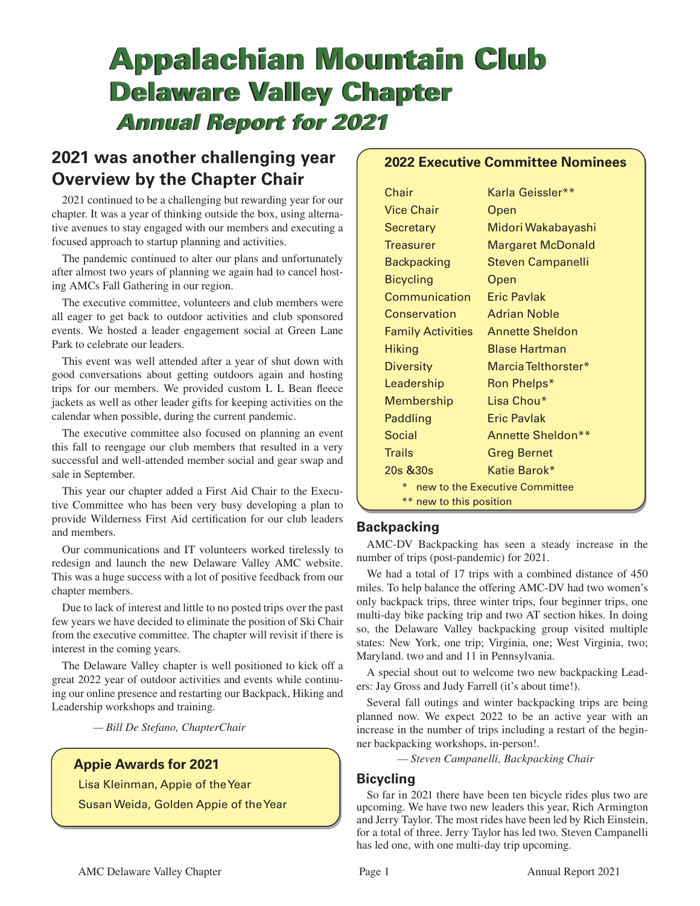# **Appalachian Mountain Club Appalachian Mountain Club Delaware Valley Chapter Delaware Valley Chapter**  *Annual Report for 2021 Annual Report for 2021*

## **2021 was another challenging year Overview by the Chapter Chair**

2021 continued to be a challenging but rewarding year for our chapter. It was a year of thinking outside the box, using alternative avenues to stay engaged with our members and executing a focused approach to startup planning and activities.

The pandemic continued to alter our plans and unfortunately after almost two years of planning we again had to cancel hosting AMCs Fall Gathering in our region.

The executive committee, volunteers and club members were all eager to get back to outdoor activities and club sponsored events. We hosted a leader engagement social at Green Lane Park to celebrate our leaders.

This event was well attended after a year of shut down with good conversations about getting outdoors again and hosting trips for our members. We provided custom L L Bean fleece jackets as well as other leader gifts for keeping activities on the calendar when possible, during the current pandemic.

The executive committee also focused on planning an event this fall to reengage our club members that resulted in a very successful and well-attended member social and gear swap and sale in September.

This year our chapter added a First Aid Chair to the Executive Committee who has been very busy developing a plan to provide Wilderness First Aid certification for our club leaders and members.

Our communications and IT volunteers worked tirelessly to redesign and launch the new Delaware Valley AMC website. This was a huge success with a lot of positive feedback from our chapter members.

Due to lack of interest and little to no posted trips over the past few years we have decided to eliminate the position of Ski Chair from the executive committee. The chapter will revisit if there is interest in the coming years.

The Delaware Valley chapter is well positioned to kick off a great 2022 year of outdoor activities and events while continuing our online presence and restarting our Backpack, Hiking and Leadership workshops and training.

*— Bill De Stefano, ChapterChair*

## **Appie Awards for 2021**

Lisa Kleinman, Appie of the Year Susan Weida, Golden Appie of the Year

## **2022 Executive Committee Nominees**

| Chair                               | Karla Geissler**       |  |
|-------------------------------------|------------------------|--|
| <b>Vice Chair</b>                   | Open                   |  |
| Secretary                           | Midori Wakabayashi     |  |
| <b>Treasurer</b>                    | Margaret McDonald      |  |
| <b>Backpacking</b>                  | Steven Campanelli      |  |
| <b>Bicycling</b>                    | Open                   |  |
| Communication                       | Eric Pavlak            |  |
| Conservation                        | <b>Adrian Noble</b>    |  |
| <b>Family Activities</b>            | <b>Annette Sheldon</b> |  |
| <b>Hiking</b>                       | <b>Blase Hartman</b>   |  |
| <b>Diversity</b>                    | Marcia Telthorster*    |  |
| Leadership                          | Ron Phelps*            |  |
| Membership                          | Lisa Chou*             |  |
| Paddling                            | Eric Pavlak            |  |
| Social                              | Annette Sheldon**      |  |
| <b>Trails</b>                       | Greg Bernet            |  |
| $20s$ $830s$                        | Katie Barok*           |  |
| ⋇<br>new to the Executive Committee |                        |  |
| ** new to this position             |                        |  |

## **Backpacking**

AMC-DV Backpacking has seen a steady increase in the number of trips (post-pandemic) for 2021.

We had a total of 17 trips with a combined distance of 450 miles. To help balance the offering AMC-DV had two women's only backpack trips, three winter trips, four beginner trips, one multi-day bike packing trip and two AT section hikes. In doing so, the Delaware Valley backpacking group visited multiple states: New York, one trip; Virginia, one; West Virginia, two; Maryland. two and and 11 in Pennsylvania.

A special shout out to welcome two new backpacking Leaders: Jay Gross and Judy Farrell (it's about time!).

Several fall outings and winter backpacking trips are being planned now. We expect 2022 to be an active year with an increase in the number of trips including a restart of the beginner backpacking workshops, in-person!.

*— Steven Campanelli, Backpacking Chair*

## **Bicycling**

So far in 2021 there have been ten bicycle rides plus two are upcoming. We have two new leaders this year, Rich Armington and Jerry Taylor. The most rides have been led by Rich Einstein, for a total of three. Jerry Taylor has led two. Steven Campanelli has led one, with one multi-day trip upcoming.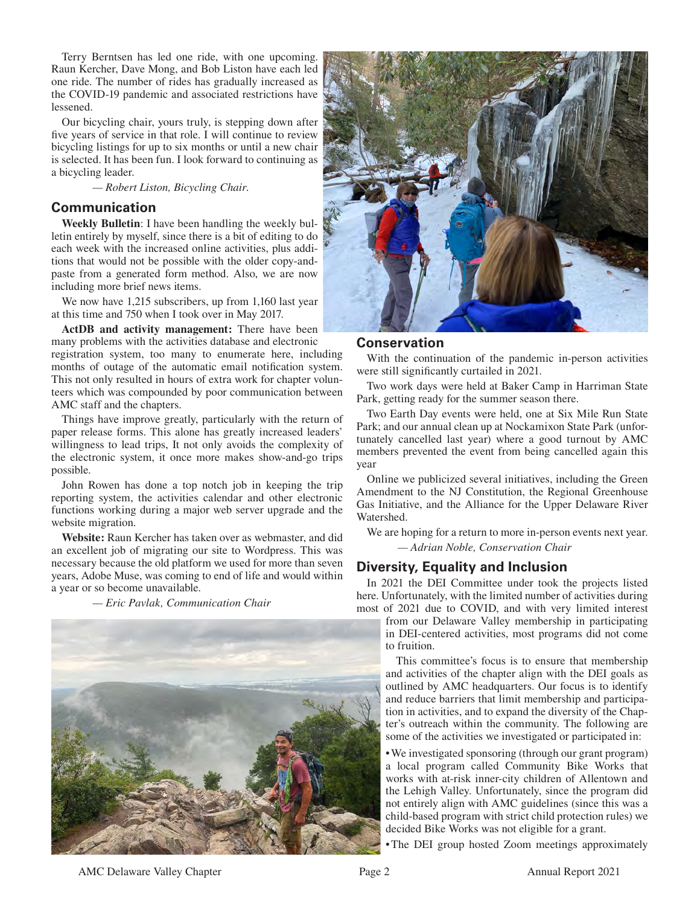Terry Berntsen has led one ride, with one upcoming. Raun Kercher, Dave Mong, and Bob Liston have each led one ride. The number of rides has gradually increased as the COVID-19 pandemic and associated restrictions have lessened.

Our bicycling chair, yours truly, is stepping down after five years of service in that role. I will continue to review bicycling listings for up to six months or until a new chair is selected. It has been fun. I look forward to continuing as a bicycling leader.

 *— Robert Liston, Bicycling Chair.*

### **Communication**

**Weekly Bulletin**: I have been handling the weekly bulletin entirely by myself, since there is a bit of editing to do each week with the increased online activities, plus additions that would not be possible with the older copy-andpaste from a generated form method. Also, we are now including more brief news items.

We now have 1,215 subscribers, up from 1,160 last year at this time and 750 when I took over in May 2017.

**ActDB and activity management:** There have been many problems with the activities database and electronic registration system, too many to enumerate here, including months of outage of the automatic email notification system. This not only resulted in hours of extra work for chapter volunteers which was compounded by poor communication between AMC staff and the chapters.

Things have improve greatly, particularly with the return of paper release forms. This alone has greatly increased leaders' willingness to lead trips, It not only avoids the complexity of the electronic system, it once more makes show-and-go trips possible.

John Rowen has done a top notch job in keeping the trip reporting system, the activities calendar and other electronic functions working during a major web server upgrade and the website migration.

**Website:** Raun Kercher has taken over as webmaster, and did an excellent job of migrating our site to Wordpress. This was necessary because the old platform we used for more than seven years, Adobe Muse, was coming to end of life and would within a year or so become unavailable.

 *— Eric Pavlak, Communication Chair*





#### **Conservation**

With the continuation of the pandemic in-person activities were still significantly curtailed in 2021.

Two work days were held at Baker Camp in Harriman State Park, getting ready for the summer season there.

Two Earth Day events were held, one at Six Mile Run State Park; and our annual clean up at Nockamixon State Park (unfortunately cancelled last year) where a good turnout by AMC members prevented the event from being cancelled again this year

Online we publicized several initiatives, including the Green Amendment to the NJ Constitution, the Regional Greenhouse Gas Initiative, and the Alliance for the Upper Delaware River Watershed.

We are hoping for a return to more in-person events next year.  *— Adrian Noble, Conservation Chair*

#### **Diversity, Equality and Inclusion**

In 2021 the DEI Committee under took the projects listed here. Unfortunately, with the limited number of activities during most of 2021 due to COVID, and with very limited interest

from our Delaware Valley membership in participating in DEI-centered activities, most programs did not come to fruition.

This committee's focus is to ensure that membership and activities of the chapter align with the DEI goals as outlined by AMC headquarters. Our focus is to identify and reduce barriers that limit membership and participation in activities, and to expand the diversity of the Chapter's outreach within the community. The following are some of the activities we investigated or participated in:

• We investigated sponsoring (through our grant program) a local program called Community Bike Works that works with at-risk inner-city children of Allentown and the Lehigh Valley. Unfortunately, since the program did not entirely align with AMC guidelines (since this was a child-based program with strict child protection rules) we decided Bike Works was not eligible for a grant.

• The DEI group hosted Zoom meetings approximately

AMC Delaware Valley Chapter **Page 2** Page 2 Annual Report 2021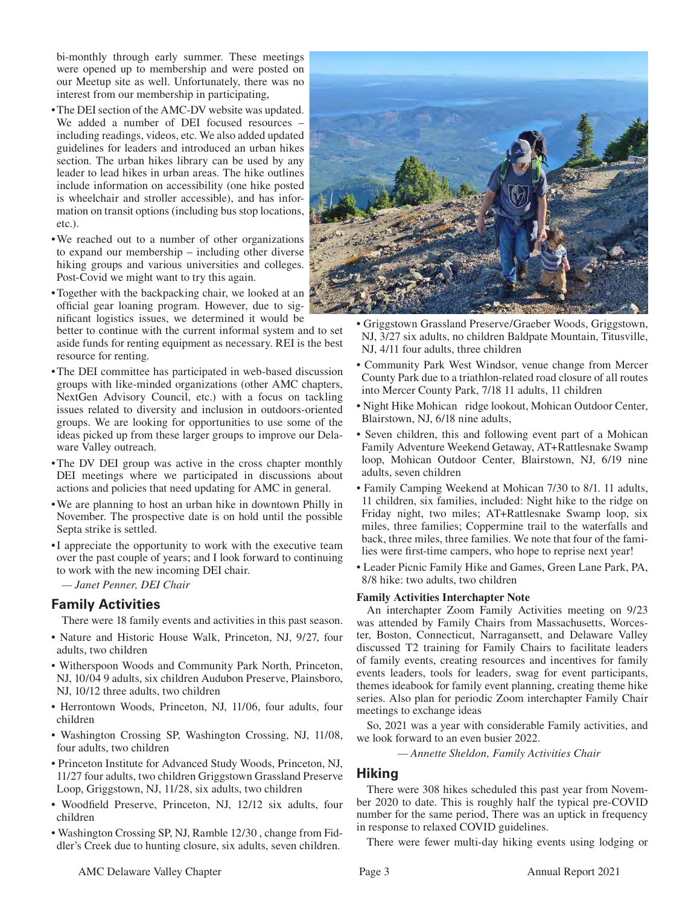bi-monthly through early summer. These meetings were opened up to membership and were posted on our Meetup site as well. Unfortunately, there was no interest from our membership in participating,

- The DEI section of the AMC-DV website was updated. We added a number of DEI focused resources – including readings, videos, etc. We also added updated guidelines for leaders and introduced an urban hikes section. The urban hikes library can be used by any leader to lead hikes in urban areas. The hike outlines include information on accessibility (one hike posted is wheelchair and stroller accessible), and has information on transit options (including bus stop locations, etc.).
- We reached out to a number of other organizations to expand our membership – including other diverse hiking groups and various universities and colleges. Post-Covid we might want to try this again.
- Together with the backpacking chair, we looked at an official gear loaning program. However, due to significant logistics issues, we determined it would be

better to continue with the current informal system and to set aside funds for renting equipment as necessary. REI is the best resource for renting.

- The DEI committee has participated in web-based discussion groups with like-minded organizations (other AMC chapters, NextGen Advisory Council, etc.) with a focus on tackling issues related to diversity and inclusion in outdoors-oriented groups. We are looking for opportunities to use some of the ideas picked up from these larger groups to improve our Delaware Valley outreach.
- The DV DEI group was active in the cross chapter monthly DEI meetings where we participated in discussions about actions and policies that need updating for AMC in general.
- We are planning to host an urban hike in downtown Philly in November. The prospective date is on hold until the possible Septa strike is settled.
- I appreciate the opportunity to work with the executive team over the past couple of years; and I look forward to continuing to work with the new incoming DEI chair.

*— Janet Penner, DEI Chair*

## **Family Activities**

There were 18 family events and activities in this past season.

- Nature and Historic House Walk, Princeton, NJ, 9/27, four adults, two children
- Witherspoon Woods and Community Park North, Princeton, NJ, 10/04 9 adults, six children Audubon Preserve, Plainsboro, NJ, 10/12 three adults, two children
- Herrontown Woods, Princeton, NJ, 11/06, four adults, four children
- Washington Crossing SP, Washington Crossing, NJ, 11/08, four adults, two children
- Princeton Institute for Advanced Study Woods, Princeton, NJ, 11/27 four adults, two children Griggstown Grassland Preserve Loop, Griggstown, NJ, 11/28, six adults, two children
- Woodfield Preserve, Princeton, NJ, 12/12 six adults, four children
- Washington Crossing SP, NJ, Ramble 12/30 , change from Fiddler's Creek due to hunting closure, six adults, seven children.



- Griggstown Grassland Preserve/Graeber Woods, Griggstown, NJ, 3/27 six adults, no children Baldpate Mountain, Titusville, NJ, 4/11 four adults, three children
- Community Park West Windsor, venue change from Mercer County Park due to a triathlon-related road closure of all routes into Mercer County Park, 7/18 11 adults, 11 children
- Night Hike Mohican ridge lookout, Mohican Outdoor Center, Blairstown, NJ, 6/18 nine adults,
- Seven children, this and following event part of a Mohican Family Adventure Weekend Getaway, AT+Rattlesnake Swamp loop, Mohican Outdoor Center, Blairstown, NJ, 6/19 nine adults, seven children
- Family Camping Weekend at Mohican 7/30 to 8/1. 11 adults, 11 children, six families, included: Night hike to the ridge on Friday night, two miles; AT+Rattlesnake Swamp loop, six miles, three families; Coppermine trail to the waterfalls and back, three miles, three families. We note that four of the families were first-time campers, who hope to reprise next year!
- Leader Picnic Family Hike and Games, Green Lane Park, PA, 8/8 hike: two adults, two children

#### **Family Activities Interchapter Note**

An interchapter Zoom Family Activities meeting on 9/23 was attended by Family Chairs from Massachusetts, Worcester, Boston, Connecticut, Narragansett, and Delaware Valley discussed T2 training for Family Chairs to facilitate leaders of family events, creating resources and incentives for family events leaders, tools for leaders, swag for event participants, themes ideabook for family event planning, creating theme hike series. Also plan for periodic Zoom interchapter Family Chair meetings to exchange ideas

So, 2021 was a year with considerable Family activities, and we look forward to an even busier 2022.

 *— Annette Sheldon, Family Activities Chair*

#### **Hiking**

There were 308 hikes scheduled this past year from November 2020 to date. This is roughly half the typical pre-COVID number for the same period, There was an uptick in frequency in response to relaxed COVID guidelines.

There were fewer multi-day hiking events using lodging or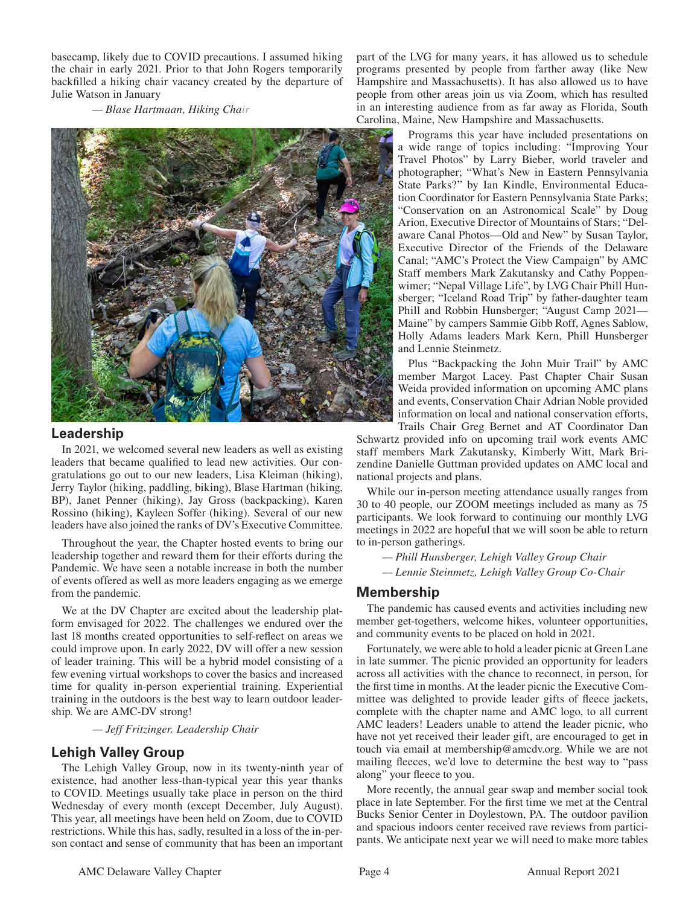basecamp, likely due to COVID precautions. I assumed hiking the chair in early 2021. Prior to that John Rogers temporarily backfilled a hiking chair vacancy created by the departure of Julie Watson in January

 *— Blase Hartmaan, Hiking Chair*



## **Leadership**

In 2021, we welcomed several new leaders as well as existing leaders that became qualified to lead new activities. Our congratulations go out to our new leaders, Lisa Kleiman (hiking), Jerry Taylor (hiking, paddling, biking), Blase Hartman (hiking, BP), Janet Penner (hiking), Jay Gross (backpacking), Karen Rossino (hiking), Kayleen Soffer (hiking). Several of our new leaders have also joined the ranks of DV's Executive Committee.

Throughout the year, the Chapter hosted events to bring our leadership together and reward them for their efforts during the Pandemic. We have seen a notable increase in both the number of events offered as well as more leaders engaging as we emerge from the pandemic.

We at the DV Chapter are excited about the leadership platform envisaged for 2022. The challenges we endured over the last 18 months created opportunities to self-reflect on areas we could improve upon. In early 2022, DV will offer a new session of leader training. This will be a hybrid model consisting of a few evening virtual workshops to cover the basics and increased time for quality in-person experiential training. Experiential training in the outdoors is the best way to learn outdoor leadership. We are AMC-DV strong!

 *— Jeff Fritzinger. Leadership Chair* 

## **Lehigh Valley Group**

The Lehigh Valley Group, now in its twenty-ninth year of existence, had another less-than-typical year this year thanks to COVID. Meetings usually take place in person on the third Wednesday of every month (except December, July August). This year, all meetings have been held on Zoom, due to COVID restrictions. While this has, sadly, resulted in a loss of the in-person contact and sense of community that has been an important

part of the LVG for many years, it has allowed us to schedule programs presented by people from farther away (like New Hampshire and Massachusetts). It has also allowed us to have people from other areas join us via Zoom, which has resulted in an interesting audience from as far away as Florida, South Carolina, Maine, New Hampshire and Massachusetts.

> Programs this year have included presentations on a wide range of topics including: "Improving Your Travel Photos" by Larry Bieber, world traveler and photographer; "What's New in Eastern Pennsylvania State Parks?" by Ian Kindle, Environmental Education Coordinator for Eastern Pennsylvania State Parks; "Conservation on an Astronomical Scale" by Doug Arion, Executive Director of Mountains of Stars; "Delaware Canal Photos—Old and New" by Susan Taylor, Executive Director of the Friends of the Delaware Canal; "AMC's Protect the View Campaign" by AMC Staff members Mark Zakutansky and Cathy Poppenwimer; "Nepal Village Life", by LVG Chair Phill Hunsberger; "Iceland Road Trip" by father-daughter team Phill and Robbin Hunsberger; "August Camp 2021— Maine" by campers Sammie Gibb Roff, Agnes Sablow, Holly Adams leaders Mark Kern, Phill Hunsberger and Lennie Steinmetz.

> Plus "Backpacking the John Muir Trail" by AMC member Margot Lacey. Past Chapter Chair Susan Weida provided information on upcoming AMC plans and events, Conservation Chair Adrian Noble provided information on local and national conservation efforts, Trails Chair Greg Bernet and AT Coordinator Dan

Schwartz provided info on upcoming trail work events AMC staff members Mark Zakutansky, Kimberly Witt, Mark Brizendine Danielle Guttman provided updates on AMC local and national projects and plans.

While our in-person meeting attendance usually ranges from 30 to 40 people, our ZOOM meetings included as many as 75 participants. We look forward to continuing our monthly LVG meetings in 2022 are hopeful that we will soon be able to return to in-person gatherings.

*— Phill Hunsberger, Lehigh Valley Group Chair — Lennie Steinmetz, Lehigh Valley Group Co-Chair*

## **Membership**

The pandemic has caused events and activities including new member get-togethers, welcome hikes, volunteer opportunities, and community events to be placed on hold in 2021.

Fortunately, we were able to hold a leader picnic at Green Lane in late summer. The picnic provided an opportunity for leaders across all activities with the chance to reconnect, in person, for the first time in months. At the leader picnic the Executive Committee was delighted to provide leader gifts of fleece jackets, complete with the chapter name and AMC logo, to all current AMC leaders! Leaders unable to attend the leader picnic, who have not yet received their leader gift, are encouraged to get in touch via email at membership@amcdv.org. While we are not mailing fleeces, we'd love to determine the best way to "pass" along" your fleece to you.

More recently, the annual gear swap and member social took place in late September. For the first time we met at the Central Bucks Senior Center in Doylestown, PA. The outdoor pavilion and spacious indoors center received rave reviews from participants. We anticipate next year we will need to make more tables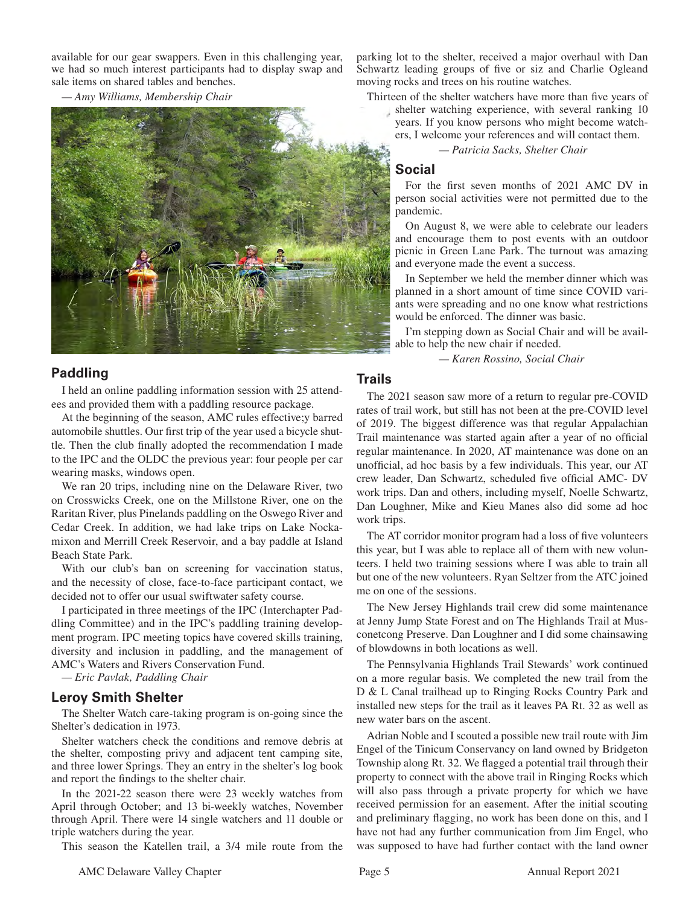available for our gear swappers. Even in this challenging year, we had so much interest participants had to display swap and sale items on shared tables and benches.

*— Amy Williams, Membership Chair*



## **Paddling**

I held an online paddling information session with 25 attendees and provided them with a paddling resource package.

At the beginning of the season, AMC rules effective;y barred automobile shuttles. Our first trip of the year used a bicycle shuttle. Then the club finally adopted the recommendation I made to the IPC and the OLDC the previous year: four people per car wearing masks, windows open.

We ran 20 trips, including nine on the Delaware River, two on Crosswicks Creek, one on the Millstone River, one on the Raritan River, plus Pinelands paddling on the Oswego River and Cedar Creek. In addition, we had lake trips on Lake Nockamixon and Merrill Creek Reservoir, and a bay paddle at Island Beach State Park.

With our club's ban on screening for vaccination status, and the necessity of close, face-to-face participant contact, we decided not to offer our usual swiftwater safety course.

I participated in three meetings of the IPC (Interchapter Paddling Committee) and in the IPC's paddling training development program. IPC meeting topics have covered skills training, diversity and inclusion in paddling, and the management of AMC's Waters and Rivers Conservation Fund.

*— Eric Pavlak, Paddling Chair*

#### **Leroy Smith Shelter**

The Shelter Watch care-taking program is on-going since the Shelter's dedication in 1973.

Shelter watchers check the conditions and remove debris at the shelter, composting privy and adjacent tent camping site, and three lower Springs. They an entry in the shelter's log book and report the findings to the shelter chair.

In the 2021-22 season there were 23 weekly watches from April through October; and 13 bi-weekly watches, November through April. There were 14 single watchers and 11 double or triple watchers during the year.

This season the Katellen trail, a 3/4 mile route from the

parking lot to the shelter, received a major overhaul with Dan Schwartz leading groups of five or siz and Charlie Ogleand moving rocks and trees on his routine watches.

Thirteen of the shelter watchers have more than five years of

shelter watching experience, with several ranking 10 years. If you know persons who might become watchers, I welcome your references and will contact them.

 *— Patricia Sacks, Shelter Chair*

## **Social**

For the first seven months of 2021 AMC DV in person social activities were not permitted due to the pandemic.

On August 8, we were able to celebrate our leaders and encourage them to post events with an outdoor picnic in Green Lane Park. The turnout was amazing and everyone made the event a success.

In September we held the member dinner which was planned in a short amount of time since COVID variants were spreading and no one know what restrictions would be enforced. The dinner was basic.

I'm stepping down as Social Chair and will be available to help the new chair if needed.

 *— Karen Rossino, Social Chair*

## **Trails**

The 2021 season saw more of a return to regular pre-COVID rates of trail work, but still has not been at the pre-COVID level of 2019. The biggest difference was that regular Appalachian Trail maintenance was started again after a year of no official regular maintenance. In 2020, AT maintenance was done on an unofficial, ad hoc basis by a few individuals. This year, our AT crew leader, Dan Schwartz, scheduled five official AMC- DV work trips. Dan and others, including myself, Noelle Schwartz, Dan Loughner, Mike and Kieu Manes also did some ad hoc work trips.

The AT corridor monitor program had a loss of five volunteers this year, but I was able to replace all of them with new volunteers. I held two training sessions where I was able to train all but one of the new volunteers. Ryan Seltzer from the ATC joined me on one of the sessions.

The New Jersey Highlands trail crew did some maintenance at Jenny Jump State Forest and on The Highlands Trail at Musconetcong Preserve. Dan Loughner and I did some chainsawing of blowdowns in both locations as well.

The Pennsylvania Highlands Trail Stewards' work continued on a more regular basis. We completed the new trail from the D & L Canal trailhead up to Ringing Rocks Country Park and installed new steps for the trail as it leaves PA Rt. 32 as well as new water bars on the ascent.

Adrian Noble and I scouted a possible new trail route with Jim Engel of the Tinicum Conservancy on land owned by Bridgeton Township along Rt. 32. We flagged a potential trail through their property to connect with the above trail in Ringing Rocks which will also pass through a private property for which we have received permission for an easement. After the initial scouting and preliminary flagging, no work has been done on this, and I have not had any further communication from Jim Engel, who was supposed to have had further contact with the land owner

AMC Delaware Valley Chapter **Page 5** Page 5 Annual Report 2021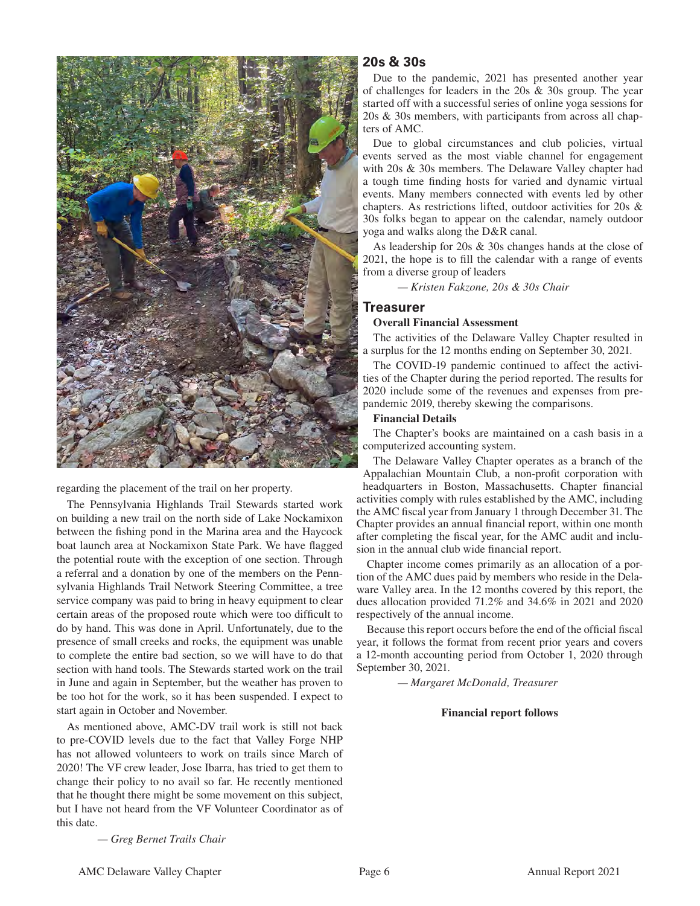

regarding the placement of the trail on her property.

The Pennsylvania Highlands Trail Stewards started work on building a new trail on the north side of Lake Nockamixon between the fishing pond in the Marina area and the Haycock boat launch area at Nockamixon State Park. We have flagged the potential route with the exception of one section. Through a referral and a donation by one of the members on the Pennsylvania Highlands Trail Network Steering Committee, a tree service company was paid to bring in heavy equipment to clear certain areas of the proposed route which were too difficult to do by hand. This was done in April. Unfortunately, due to the presence of small creeks and rocks, the equipment was unable to complete the entire bad section, so we will have to do that section with hand tools. The Stewards started work on the trail in June and again in September, but the weather has proven to be too hot for the work, so it has been suspended. I expect to start again in October and November.

As mentioned above, AMC-DV trail work is still not back to pre-COVID levels due to the fact that Valley Forge NHP has not allowed volunteers to work on trails since March of 2020! The VF crew leader, Jose Ibarra, has tried to get them to change their policy to no avail so far. He recently mentioned that he thought there might be some movement on this subject, but I have not heard from the VF Volunteer Coordinator as of this date.

**20s & 30s**

Due to the pandemic, 2021 has presented another year of challenges for leaders in the 20s & 30s group. The year started off with a successful series of online yoga sessions for 20s & 30s members, with participants from across all chapters of AMC.

Due to global circumstances and club policies, virtual events served as the most viable channel for engagement with 20s & 30s members. The Delaware Valley chapter had a tough time finding hosts for varied and dynamic virtual events. Many members connected with events led by other chapters. As restrictions lifted, outdoor activities for 20s & 30s folks began to appear on the calendar, namely outdoor yoga and walks along the D&R canal.

As leadership for 20s & 30s changes hands at the close of 2021, the hope is to fill the calendar with a range of events from a diverse group of leaders

*— Kristen Fakzone, 20s & 30s Chair*

## **Treasurer**

#### **Overall Financial Assessment**

The activities of the Delaware Valley Chapter resulted in a surplus for the 12 months ending on September 30, 2021.

The COVID-19 pandemic continued to affect the activities of the Chapter during the period reported. The results for 2020 include some of the revenues and expenses from prepandemic 2019, thereby skewing the comparisons.

#### **Financial Details**

The Chapter's books are maintained on a cash basis in a computerized accounting system.

The Delaware Valley Chapter operates as a branch of the Appalachian Mountain Club, a non-profit corporation with headquarters in Boston, Massachusetts. Chapter financial activities comply with rules established by the AMC, including the AMC fiscal year from January 1 through December 31. The Chapter provides an annual financial report, within one month after completing the fiscal year, for the AMC audit and inclusion in the annual club wide financial report.

Chapter income comes primarily as an allocation of a portion of the AMC dues paid by members who reside in the Delaware Valley area. In the 12 months covered by this report, the dues allocation provided 71.2% and 34.6% in 2021 and 2020 respectively of the annual income.

Because this report occurs before the end of the official fiscal year, it follows the format from recent prior years and covers a 12-month accounting period from October 1, 2020 through September 30, 2021.

 *— Margaret McDonald, Treasurer*

#### **Financial report follows**

 *— Greg Bernet Trails Chair*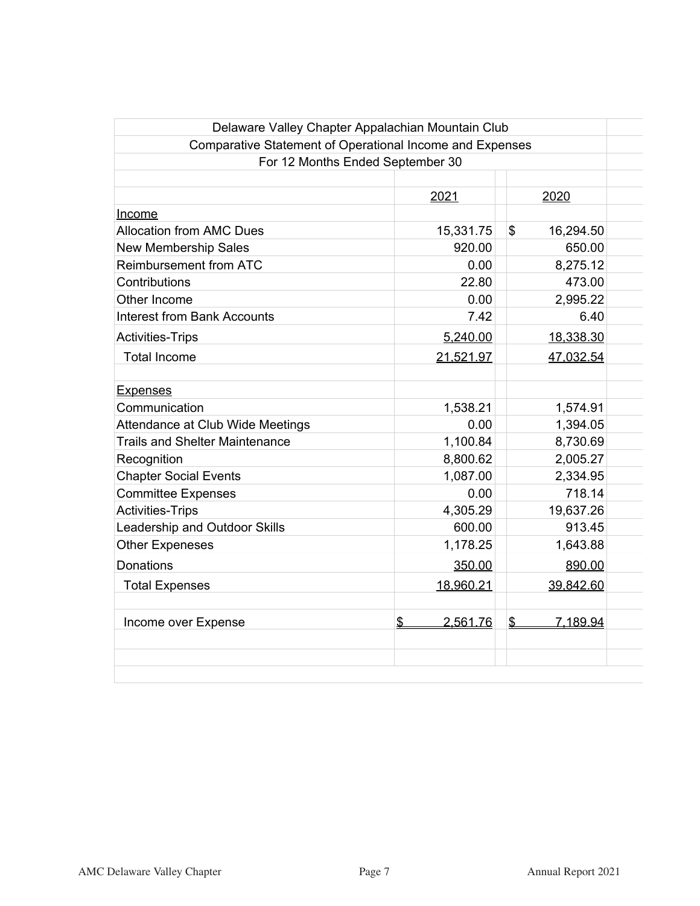| Delaware Valley Chapter Appalachian Mountain Club        |                |                 |  |
|----------------------------------------------------------|----------------|-----------------|--|
| Comparative Statement of Operational Income and Expenses |                |                 |  |
| For 12 Months Ended September 30                         |                |                 |  |
|                                                          |                |                 |  |
|                                                          | 2021           | 2020            |  |
| Income                                                   |                |                 |  |
| <b>Allocation from AMC Dues</b>                          | 15,331.75      | \$<br>16,294.50 |  |
| <b>New Membership Sales</b>                              | 920.00         | 650.00          |  |
| <b>Reimbursement from ATC</b>                            | 0.00           | 8,275.12        |  |
| Contributions                                            | 22.80          | 473.00          |  |
| Other Income                                             | 0.00           | 2,995.22        |  |
| <b>Interest from Bank Accounts</b>                       | 7.42           | 6.40            |  |
| <b>Activities-Trips</b>                                  | 5,240.00       | 18,338.30       |  |
| <b>Total Income</b>                                      | 21,521.97      | 47,032.54       |  |
| <b>Expenses</b>                                          |                |                 |  |
| Communication                                            | 1,538.21       | 1,574.91        |  |
| Attendance at Club Wide Meetings                         | 0.00           | 1,394.05        |  |
| <b>Trails and Shelter Maintenance</b>                    | 1,100.84       | 8,730.69        |  |
| Recognition                                              | 8,800.62       | 2,005.27        |  |
| <b>Chapter Social Events</b>                             | 1,087.00       | 2,334.95        |  |
| <b>Committee Expenses</b>                                | 0.00           | 718.14          |  |
| <b>Activities-Trips</b>                                  | 4,305.29       | 19,637.26       |  |
| Leadership and Outdoor Skills                            | 600.00         | 913.45          |  |
| <b>Other Expeneses</b>                                   | 1,178.25       | 1,643.88        |  |
| Donations                                                | 350.00         | 890.00          |  |
| <b>Total Expenses</b>                                    | 18,960.21      | 39,842.60       |  |
| Income over Expense                                      | \$<br>2,561.76 | 7.189.94<br>\$  |  |
|                                                          |                |                 |  |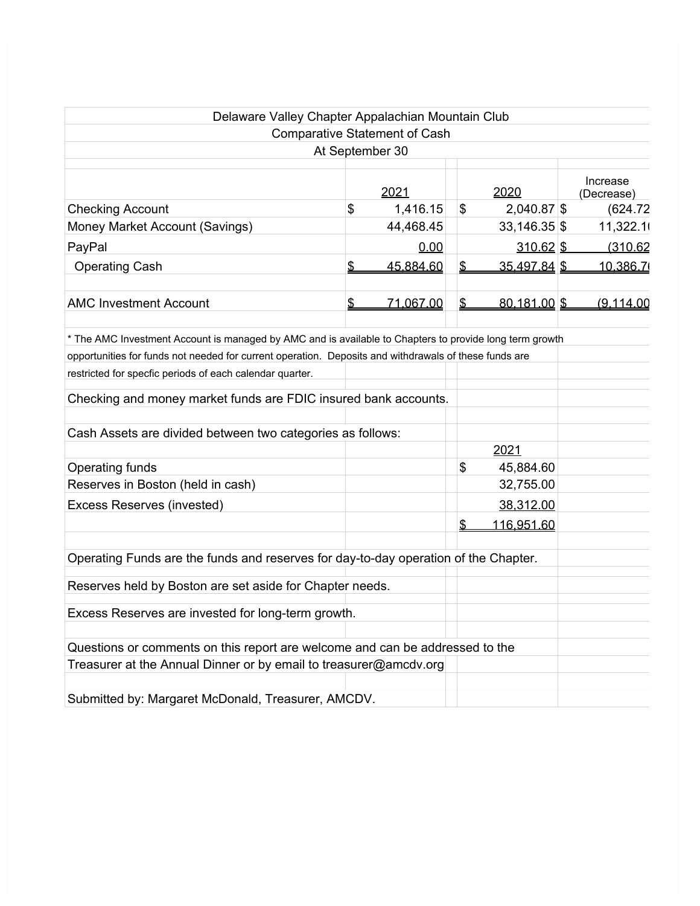| Delaware Valley Chapter Appalachian Mountain Club                                                       |                 |               |                   |                        |
|---------------------------------------------------------------------------------------------------------|-----------------|---------------|-------------------|------------------------|
| <b>Comparative Statement of Cash</b>                                                                    |                 |               |                   |                        |
|                                                                                                         | At September 30 |               |                   |                        |
|                                                                                                         | 2021            |               | 2020              | Increase<br>(Decrease) |
| <b>Checking Account</b>                                                                                 | \$<br>1,416.15  | \$            | 2,040.87 \$       | (624.72)               |
| Money Market Account (Savings)                                                                          | 44,468.45       |               | $33,146.35$ \$    | 11,322.1               |
| PayPal                                                                                                  | 0.00            |               | $310.62$ \$       | (310.62)               |
| <b>Operating Cash</b>                                                                                   | \$<br>45,884.60 | \$            | 35,497.84 \$      | 10,386.7               |
| <b>AMC Investment Account</b>                                                                           | \$<br>71,067.00 | $\frac{2}{3}$ | 80,181.00 \$      | (9,114.00)             |
| * The AMC Investment Account is managed by AMC and is available to Chapters to provide long term growth |                 |               |                   |                        |
| opportunities for funds not needed for current operation. Deposits and withdrawals of these funds are   |                 |               |                   |                        |
| restricted for specfic periods of each calendar quarter.                                                |                 |               |                   |                        |
| Checking and money market funds are FDIC insured bank accounts.                                         |                 |               |                   |                        |
| Cash Assets are divided between two categories as follows:                                              |                 |               |                   |                        |
|                                                                                                         |                 |               | 2021              |                        |
| Operating funds                                                                                         |                 | \$            | 45,884.60         |                        |
| Reserves in Boston (held in cash)                                                                       |                 |               | 32,755.00         |                        |
| Excess Reserves (invested)                                                                              |                 |               | 38,312.00         |                        |
|                                                                                                         |                 | \$            | <u>116,951.60</u> |                        |
| Operating Funds are the funds and reserves for day-to-day operation of the Chapter.                     |                 |               |                   |                        |
| Reserves held by Boston are set aside for Chapter needs.                                                |                 |               |                   |                        |
| Excess Reserves are invested for long-term growth.                                                      |                 |               |                   |                        |
| Questions or comments on this report are welcome and can be addressed to the                            |                 |               |                   |                        |
| Treasurer at the Annual Dinner or by email to treasurer@amcdv.org                                       |                 |               |                   |                        |
| Submitted by: Margaret McDonald, Treasurer, AMCDV.                                                      |                 |               |                   |                        |